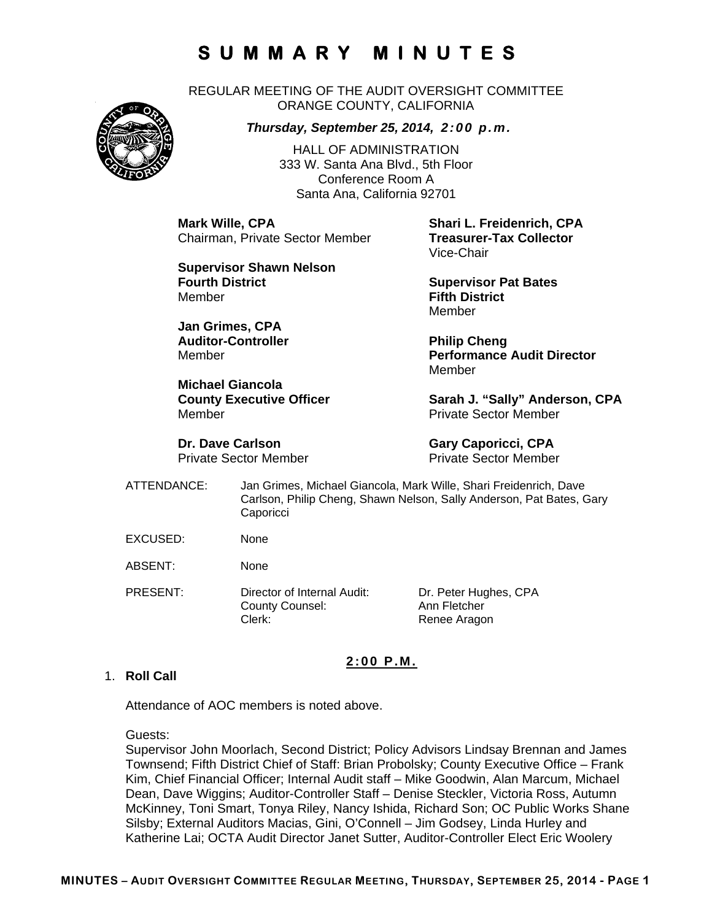REGULAR MEETING OF THE AUDIT OVERSIGHT COMMITTEE ORANGE COUNTY, CALIFORNIA



*Thursday, September 25, 2014, 2:00 p.m.*

HALL OF ADMINISTRATION 333 W. Santa Ana Blvd., 5th Floor Conference Room A Santa Ana, California 92701

**Mark Wille, CPA Shari L. Freidenrich, CPA Chairman, Private Sector Member** 

**Supervisor Shawn Nelson Fourth District Community Community Community Supervisor Pat Bates** Member **Fifth District** 

**Jan Grimes, CPA**  Auditor-Controller **Philip Cheng** 

**Michael Giancola**  Member Private Sector Member

**Dr. Dave Carlson Gary Caporicci, CPA** 

Vice-Chair

Member

Member **Performance Audit Director**  Member

County Executive Officer **Sarah J. "Sally" Anderson, CPA** 

Private Sector Member Private Sector Member

- ATTENDANCE: Jan Grimes, Michael Giancola, Mark Wille, Shari Freidenrich, Dave Carlson, Philip Cheng, Shawn Nelson, Sally Anderson, Pat Bates, Gary **Caporicci**
- EXCUSED: None
- ABSENT: None
- PRESENT: Director of Internal Audit: Dr. Peter Hughes, CPA County Counsel: Ann Fletcher Clerk: Renee Aragon

#### **2:00 P.M.**

#### 1. **Roll Call**

Attendance of AOC members is noted above.

Guests:

Supervisor John Moorlach, Second District; Policy Advisors Lindsay Brennan and James Townsend; Fifth District Chief of Staff: Brian Probolsky; County Executive Office – Frank Kim, Chief Financial Officer; Internal Audit staff – Mike Goodwin, Alan Marcum, Michael Dean, Dave Wiggins; Auditor-Controller Staff – Denise Steckler, Victoria Ross, Autumn McKinney, Toni Smart, Tonya Riley, Nancy Ishida, Richard Son; OC Public Works Shane Silsby; External Auditors Macias, Gini, O'Connell – Jim Godsey, Linda Hurley and Katherine Lai; OCTA Audit Director Janet Sutter, Auditor-Controller Elect Eric Woolery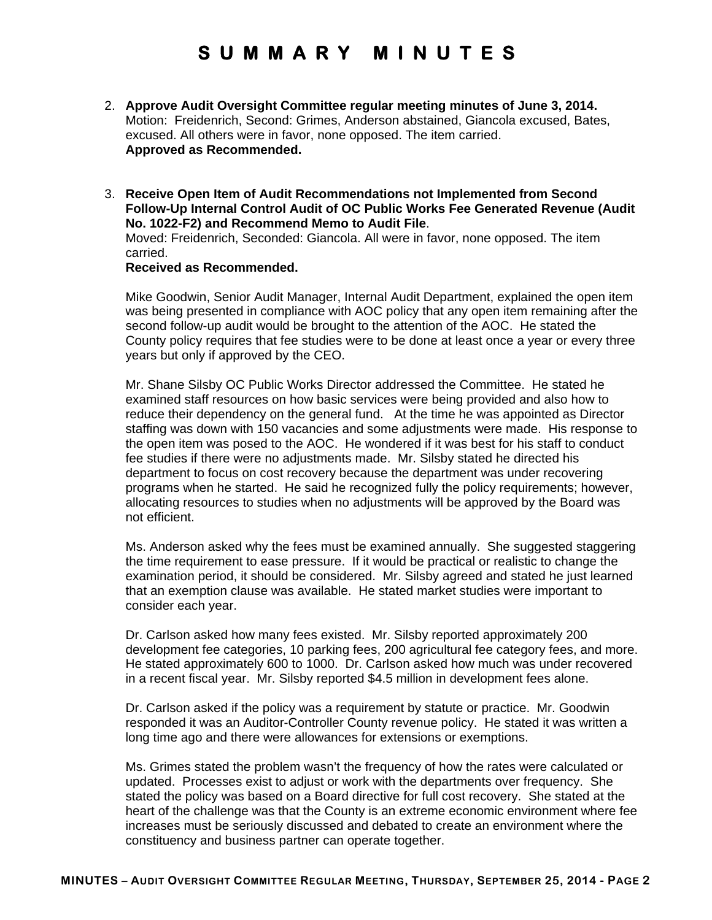- 2. **Approve Audit Oversight Committee regular meeting minutes of June 3, 2014.** Motion: Freidenrich, Second: Grimes, Anderson abstained, Giancola excused, Bates, excused. All others were in favor, none opposed. The item carried. **Approved as Recommended.**
- 3. **Receive Open Item of Audit Recommendations not Implemented from Second Follow-Up Internal Control Audit of OC Public Works Fee Generated Revenue (Audit No. 1022-F2) and Recommend Memo to Audit File**.

Moved: Freidenrich, Seconded: Giancola. All were in favor, none opposed. The item carried.

#### **Received as Recommended.**

Mike Goodwin, Senior Audit Manager, Internal Audit Department, explained the open item was being presented in compliance with AOC policy that any open item remaining after the second follow-up audit would be brought to the attention of the AOC. He stated the County policy requires that fee studies were to be done at least once a year or every three years but only if approved by the CEO.

Mr. Shane Silsby OC Public Works Director addressed the Committee. He stated he examined staff resources on how basic services were being provided and also how to reduce their dependency on the general fund. At the time he was appointed as Director staffing was down with 150 vacancies and some adjustments were made. His response to the open item was posed to the AOC. He wondered if it was best for his staff to conduct fee studies if there were no adjustments made. Mr. Silsby stated he directed his department to focus on cost recovery because the department was under recovering programs when he started. He said he recognized fully the policy requirements; however, allocating resources to studies when no adjustments will be approved by the Board was not efficient.

Ms. Anderson asked why the fees must be examined annually. She suggested staggering the time requirement to ease pressure. If it would be practical or realistic to change the examination period, it should be considered. Mr. Silsby agreed and stated he just learned that an exemption clause was available. He stated market studies were important to consider each year.

Dr. Carlson asked how many fees existed. Mr. Silsby reported approximately 200 development fee categories, 10 parking fees, 200 agricultural fee category fees, and more. He stated approximately 600 to 1000. Dr. Carlson asked how much was under recovered in a recent fiscal year. Mr. Silsby reported \$4.5 million in development fees alone.

Dr. Carlson asked if the policy was a requirement by statute or practice. Mr. Goodwin responded it was an Auditor-Controller County revenue policy. He stated it was written a long time ago and there were allowances for extensions or exemptions.

Ms. Grimes stated the problem wasn't the frequency of how the rates were calculated or updated. Processes exist to adjust or work with the departments over frequency. She stated the policy was based on a Board directive for full cost recovery. She stated at the heart of the challenge was that the County is an extreme economic environment where fee increases must be seriously discussed and debated to create an environment where the constituency and business partner can operate together.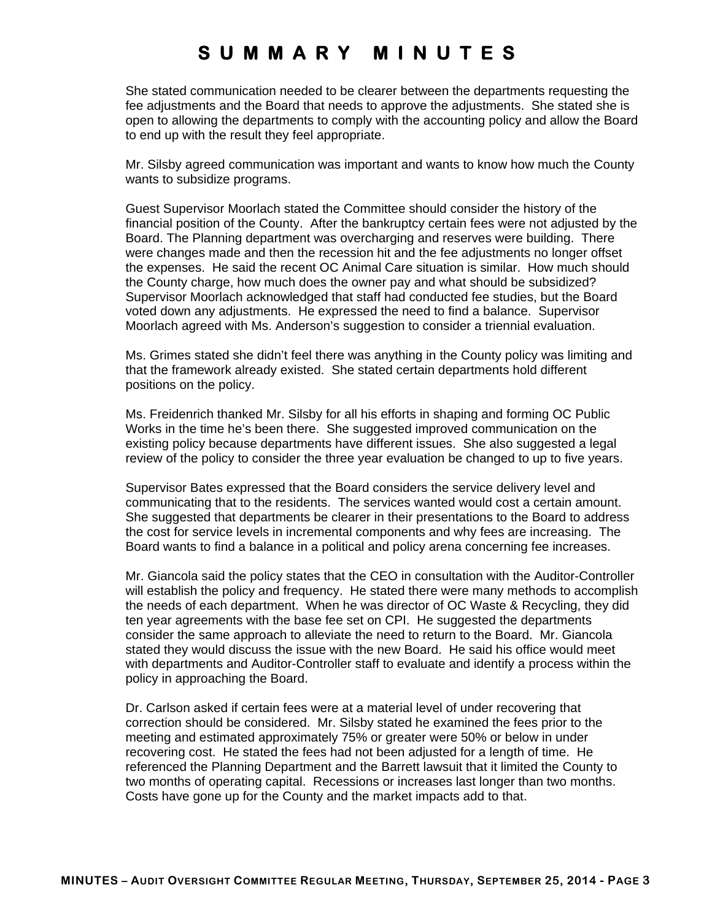She stated communication needed to be clearer between the departments requesting the fee adjustments and the Board that needs to approve the adjustments. She stated she is open to allowing the departments to comply with the accounting policy and allow the Board to end up with the result they feel appropriate.

Mr. Silsby agreed communication was important and wants to know how much the County wants to subsidize programs.

Guest Supervisor Moorlach stated the Committee should consider the history of the financial position of the County. After the bankruptcy certain fees were not adjusted by the Board. The Planning department was overcharging and reserves were building. There were changes made and then the recession hit and the fee adjustments no longer offset the expenses. He said the recent OC Animal Care situation is similar. How much should the County charge, how much does the owner pay and what should be subsidized? Supervisor Moorlach acknowledged that staff had conducted fee studies, but the Board voted down any adjustments. He expressed the need to find a balance. Supervisor Moorlach agreed with Ms. Anderson's suggestion to consider a triennial evaluation.

Ms. Grimes stated she didn't feel there was anything in the County policy was limiting and that the framework already existed. She stated certain departments hold different positions on the policy.

Ms. Freidenrich thanked Mr. Silsby for all his efforts in shaping and forming OC Public Works in the time he's been there. She suggested improved communication on the existing policy because departments have different issues. She also suggested a legal review of the policy to consider the three year evaluation be changed to up to five years.

Supervisor Bates expressed that the Board considers the service delivery level and communicating that to the residents. The services wanted would cost a certain amount. She suggested that departments be clearer in their presentations to the Board to address the cost for service levels in incremental components and why fees are increasing. The Board wants to find a balance in a political and policy arena concerning fee increases.

Mr. Giancola said the policy states that the CEO in consultation with the Auditor-Controller will establish the policy and frequency. He stated there were many methods to accomplish the needs of each department. When he was director of OC Waste & Recycling, they did ten year agreements with the base fee set on CPI. He suggested the departments consider the same approach to alleviate the need to return to the Board. Mr. Giancola stated they would discuss the issue with the new Board. He said his office would meet with departments and Auditor-Controller staff to evaluate and identify a process within the policy in approaching the Board.

Dr. Carlson asked if certain fees were at a material level of under recovering that correction should be considered. Mr. Silsby stated he examined the fees prior to the meeting and estimated approximately 75% or greater were 50% or below in under recovering cost. He stated the fees had not been adjusted for a length of time. He referenced the Planning Department and the Barrett lawsuit that it limited the County to two months of operating capital. Recessions or increases last longer than two months. Costs have gone up for the County and the market impacts add to that.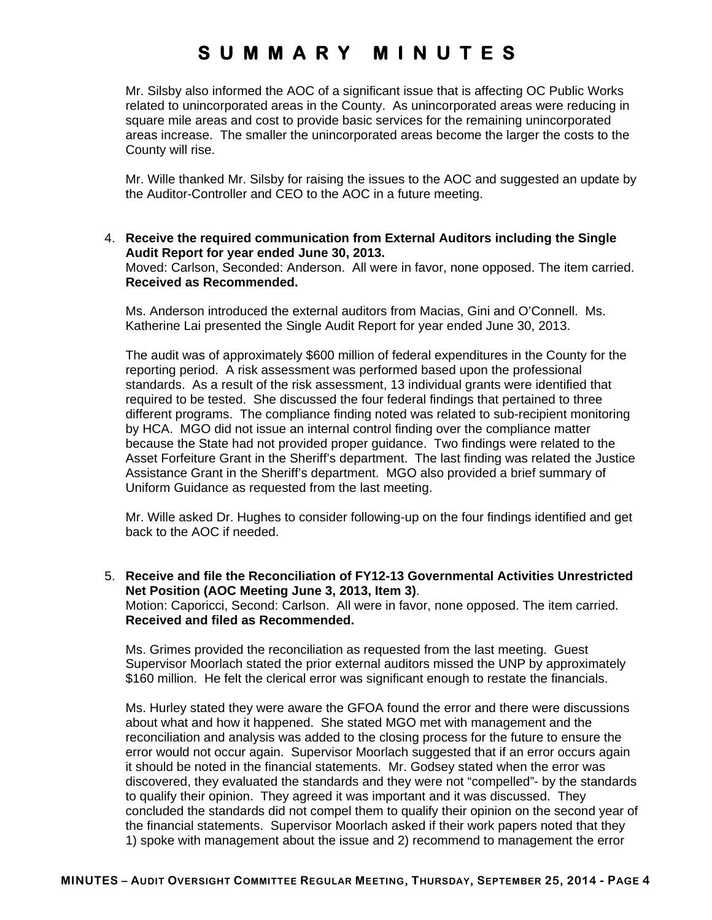Mr. Silsby also informed the AOC of a significant issue that is affecting OC Public Works related to unincorporated areas in the County. As unincorporated areas were reducing in square mile areas and cost to provide basic services for the remaining unincorporated areas increase. The smaller the unincorporated areas become the larger the costs to the County will rise.

Mr. Wille thanked Mr. Silsby for raising the issues to the AOC and suggested an update by the Auditor-Controller and CEO to the AOC in a future meeting.

4. **Receive the required communication from External Auditors including the Single Audit Report for year ended June 30, 2013.**

Moved: Carlson, Seconded: Anderson. All were in favor, none opposed. The item carried. **Received as Recommended.** 

Ms. Anderson introduced the external auditors from Macias, Gini and O'Connell. Ms. Katherine Lai presented the Single Audit Report for year ended June 30, 2013.

The audit was of approximately \$600 million of federal expenditures in the County for the reporting period. A risk assessment was performed based upon the professional standards. As a result of the risk assessment, 13 individual grants were identified that required to be tested. She discussed the four federal findings that pertained to three different programs. The compliance finding noted was related to sub-recipient monitoring by HCA. MGO did not issue an internal control finding over the compliance matter because the State had not provided proper guidance. Two findings were related to the Asset Forfeiture Grant in the Sheriff's department. The last finding was related the Justice Assistance Grant in the Sheriff's department. MGO also provided a brief summary of Uniform Guidance as requested from the last meeting.

Mr. Wille asked Dr. Hughes to consider following-up on the four findings identified and get back to the AOC if needed.

5. **Receive and file the Reconciliation of FY12-13 Governmental Activities Unrestricted Net Position (AOC Meeting June 3, 2013, Item 3)**. Motion: Caporicci, Second: Carlson. All were in favor, none opposed. The item carried. **Received and filed as Recommended.** 

Ms. Grimes provided the reconciliation as requested from the last meeting. Guest Supervisor Moorlach stated the prior external auditors missed the UNP by approximately \$160 million. He felt the clerical error was significant enough to restate the financials.

Ms. Hurley stated they were aware the GFOA found the error and there were discussions about what and how it happened. She stated MGO met with management and the reconciliation and analysis was added to the closing process for the future to ensure the error would not occur again. Supervisor Moorlach suggested that if an error occurs again it should be noted in the financial statements. Mr. Godsey stated when the error was discovered, they evaluated the standards and they were not "compelled"- by the standards to qualify their opinion. They agreed it was important and it was discussed. They concluded the standards did not compel them to qualify their opinion on the second year of the financial statements. Supervisor Moorlach asked if their work papers noted that they 1) spoke with management about the issue and 2) recommend to management the error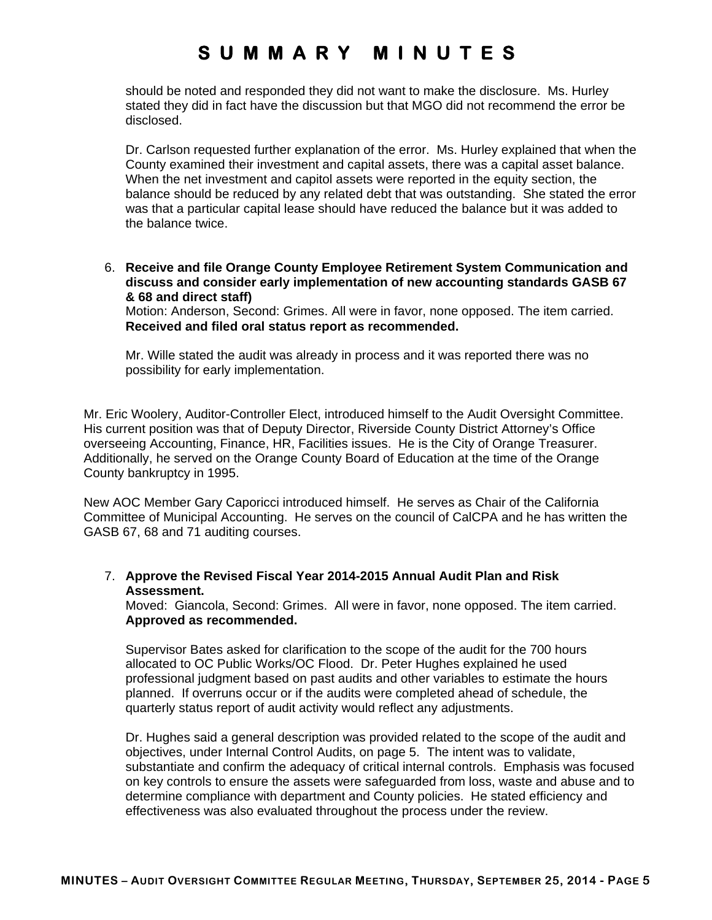should be noted and responded they did not want to make the disclosure. Ms. Hurley stated they did in fact have the discussion but that MGO did not recommend the error be disclosed.

Dr. Carlson requested further explanation of the error. Ms. Hurley explained that when the County examined their investment and capital assets, there was a capital asset balance. When the net investment and capitol assets were reported in the equity section, the balance should be reduced by any related debt that was outstanding. She stated the error was that a particular capital lease should have reduced the balance but it was added to the balance twice.

6. **Receive and file Orange County Employee Retirement System Communication and discuss and consider early implementation of new accounting standards GASB 67 & 68 and direct staff)**

Motion: Anderson, Second: Grimes. All were in favor, none opposed. The item carried. **Received and filed oral status report as recommended.** 

Mr. Wille stated the audit was already in process and it was reported there was no possibility for early implementation.

Mr. Eric Woolery, Auditor-Controller Elect, introduced himself to the Audit Oversight Committee. His current position was that of Deputy Director, Riverside County District Attorney's Office overseeing Accounting, Finance, HR, Facilities issues. He is the City of Orange Treasurer. Additionally, he served on the Orange County Board of Education at the time of the Orange County bankruptcy in 1995.

New AOC Member Gary Caporicci introduced himself. He serves as Chair of the California Committee of Municipal Accounting. He serves on the council of CalCPA and he has written the GASB 67, 68 and 71 auditing courses.

#### 7. **Approve the Revised Fiscal Year 2014-2015 Annual Audit Plan and Risk Assessment.**

Moved: Giancola, Second: Grimes. All were in favor, none opposed. The item carried. **Approved as recommended.** 

Supervisor Bates asked for clarification to the scope of the audit for the 700 hours allocated to OC Public Works/OC Flood. Dr. Peter Hughes explained he used professional judgment based on past audits and other variables to estimate the hours planned. If overruns occur or if the audits were completed ahead of schedule, the quarterly status report of audit activity would reflect any adjustments.

Dr. Hughes said a general description was provided related to the scope of the audit and objectives, under Internal Control Audits, on page 5. The intent was to validate, substantiate and confirm the adequacy of critical internal controls. Emphasis was focused on key controls to ensure the assets were safeguarded from loss, waste and abuse and to determine compliance with department and County policies. He stated efficiency and effectiveness was also evaluated throughout the process under the review.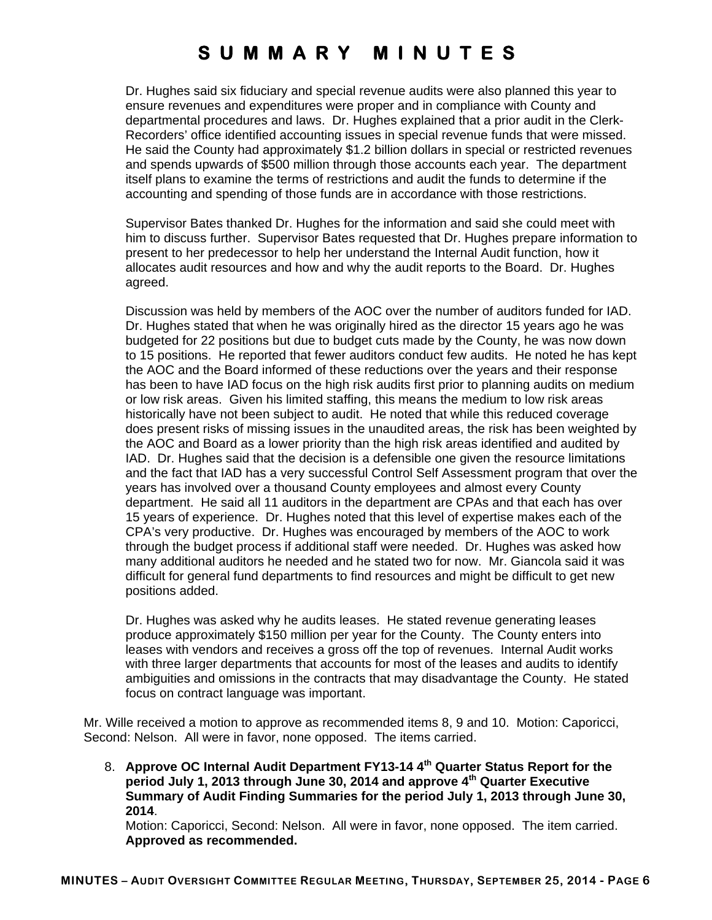Dr. Hughes said six fiduciary and special revenue audits were also planned this year to ensure revenues and expenditures were proper and in compliance with County and departmental procedures and laws. Dr. Hughes explained that a prior audit in the Clerk-Recorders' office identified accounting issues in special revenue funds that were missed. He said the County had approximately \$1.2 billion dollars in special or restricted revenues and spends upwards of \$500 million through those accounts each year. The department itself plans to examine the terms of restrictions and audit the funds to determine if the accounting and spending of those funds are in accordance with those restrictions.

Supervisor Bates thanked Dr. Hughes for the information and said she could meet with him to discuss further. Supervisor Bates requested that Dr. Hughes prepare information to present to her predecessor to help her understand the Internal Audit function, how it allocates audit resources and how and why the audit reports to the Board. Dr. Hughes agreed.

Discussion was held by members of the AOC over the number of auditors funded for IAD. Dr. Hughes stated that when he was originally hired as the director 15 years ago he was budgeted for 22 positions but due to budget cuts made by the County, he was now down to 15 positions. He reported that fewer auditors conduct few audits. He noted he has kept the AOC and the Board informed of these reductions over the years and their response has been to have IAD focus on the high risk audits first prior to planning audits on medium or low risk areas. Given his limited staffing, this means the medium to low risk areas historically have not been subject to audit. He noted that while this reduced coverage does present risks of missing issues in the unaudited areas, the risk has been weighted by the AOC and Board as a lower priority than the high risk areas identified and audited by IAD. Dr. Hughes said that the decision is a defensible one given the resource limitations and the fact that IAD has a very successful Control Self Assessment program that over the years has involved over a thousand County employees and almost every County department. He said all 11 auditors in the department are CPAs and that each has over 15 years of experience. Dr. Hughes noted that this level of expertise makes each of the CPA's very productive. Dr. Hughes was encouraged by members of the AOC to work through the budget process if additional staff were needed. Dr. Hughes was asked how many additional auditors he needed and he stated two for now. Mr. Giancola said it was difficult for general fund departments to find resources and might be difficult to get new positions added.

Dr. Hughes was asked why he audits leases. He stated revenue generating leases produce approximately \$150 million per year for the County. The County enters into leases with vendors and receives a gross off the top of revenues. Internal Audit works with three larger departments that accounts for most of the leases and audits to identify ambiguities and omissions in the contracts that may disadvantage the County. He stated focus on contract language was important.

Mr. Wille received a motion to approve as recommended items 8, 9 and 10. Motion: Caporicci, Second: Nelson. All were in favor, none opposed. The items carried.

8. **Approve OC Internal Audit Department FY13-14 4th Quarter Status Report for the period July 1, 2013 through June 30, 2014 and approve 4th Quarter Executive Summary of Audit Finding Summaries for the period July 1, 2013 through June 30, 2014**.

Motion: Caporicci, Second: Nelson. All were in favor, none opposed. The item carried. **Approved as recommended.**